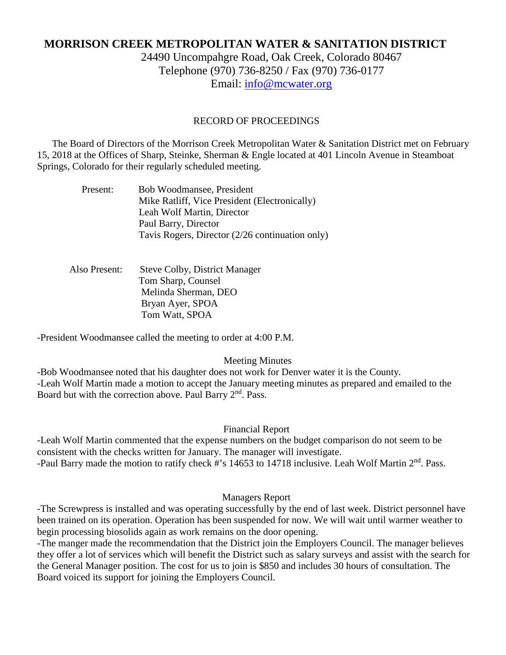# **MORRISON CREEK METROPOLITAN WATER & SANITATION DISTRICT**

24490 Uncompahgre Road, Oak Creek, Colorado 80467 Telephone (970) 736-8250 / Fax (970) 736-0177 Email: [info@mcwater.org](mailto:info@mcwater.org)

#### RECORD OF PROCEEDINGS

 The Board of Directors of the Morrison Creek Metropolitan Water & Sanitation District met on February 15, 2018 at the Offices of Sharp, Steinke, Sherman & Engle located at 401 Lincoln Avenue in Steamboat Springs, Colorado for their regularly scheduled meeting.

| Present: | Bob Woodmansee, President                       |
|----------|-------------------------------------------------|
|          | Mike Ratliff, Vice President (Electronically)   |
|          | Leah Wolf Martin, Director                      |
|          | Paul Barry, Director                            |
|          | Tavis Rogers, Director (2/26 continuation only) |
|          |                                                 |

 Also Present: Steve Colby, District Manager Tom Sharp, Counsel Melinda Sherman, DEO Bryan Ayer, SPOA Tom Watt, SPOA

-President Woodmansee called the meeting to order at 4:00 P.M.

Meeting Minutes

-Bob Woodmansee noted that his daughter does not work for Denver water it is the County. -Leah Wolf Martin made a motion to accept the January meeting minutes as prepared and emailed to the Board but with the correction above. Paul Barry 2<sup>nd</sup>. Pass.

#### Financial Report

-Leah Wolf Martin commented that the expense numbers on the budget comparison do not seem to be consistent with the checks written for January. The manager will investigate. -Paul Barry made the motion to ratify check #'s 14653 to 14718 inclusive. Leah Wolf Martin 2<sup>nd</sup>. Pass.

#### Managers Report

-The Screwpress is installed and was operating successfully by the end of last week. District personnel have been trained on its operation. Operation has been suspended for now. We will wait until warmer weather to begin processing biosolids again as work remains on the door opening.

-The manger made the recommendation that the District join the Employers Council. The manager believes they offer a lot of services which will benefit the District such as salary surveys and assist with the search for the General Manager position. The cost for us to join is \$850 and includes 30 hours of consultation. The Board voiced its support for joining the Employers Council.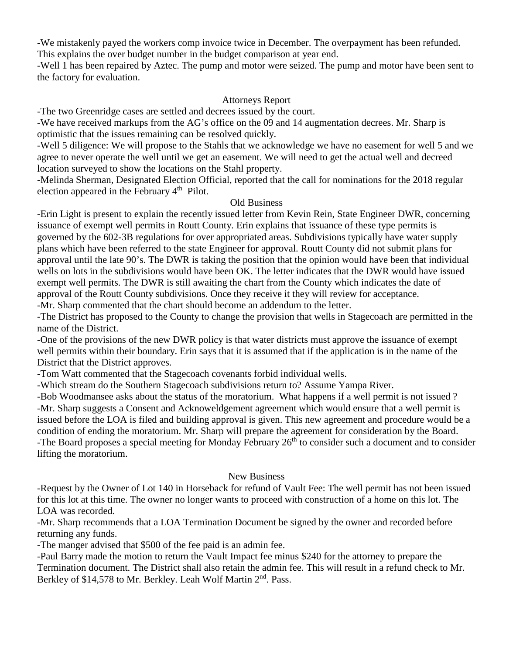-We mistakenly payed the workers comp invoice twice in December. The overpayment has been refunded. This explains the over budget number in the budget comparison at year end.

-Well 1 has been repaired by Aztec. The pump and motor were seized. The pump and motor have been sent to the factory for evaluation.

## Attorneys Report

-The two Greenridge cases are settled and decrees issued by the court.

-We have received markups from the AG's office on the 09 and 14 augmentation decrees. Mr. Sharp is optimistic that the issues remaining can be resolved quickly.

-Well 5 diligence: We will propose to the Stahls that we acknowledge we have no easement for well 5 and we agree to never operate the well until we get an easement. We will need to get the actual well and decreed location surveyed to show the locations on the Stahl property.

-Melinda Sherman, Designated Election Official, reported that the call for nominations for the 2018 regular election appeared in the February  $4<sup>th</sup>$  Pilot.

## Old Business

-Erin Light is present to explain the recently issued letter from Kevin Rein, State Engineer DWR, concerning issuance of exempt well permits in Routt County. Erin explains that issuance of these type permits is governed by the 602-3B regulations for over appropriated areas. Subdivisions typically have water supply plans which have been referred to the state Engineer for approval. Routt County did not submit plans for approval until the late 90's. The DWR is taking the position that the opinion would have been that individual wells on lots in the subdivisions would have been OK. The letter indicates that the DWR would have issued exempt well permits. The DWR is still awaiting the chart from the County which indicates the date of approval of the Routt County subdivisions. Once they receive it they will review for acceptance.

-Mr. Sharp commented that the chart should become an addendum to the letter.

-The District has proposed to the County to change the provision that wells in Stagecoach are permitted in the name of the District.

-One of the provisions of the new DWR policy is that water districts must approve the issuance of exempt well permits within their boundary. Erin says that it is assumed that if the application is in the name of the District that the District approves.

-Tom Watt commented that the Stagecoach covenants forbid individual wells.

-Which stream do the Southern Stagecoach subdivisions return to? Assume Yampa River.

-Bob Woodmansee asks about the status of the moratorium. What happens if a well permit is not issued ? -Mr. Sharp suggests a Consent and Acknoweldgement agreement which would ensure that a well permit is issued before the LOA is filed and building approval is given. This new agreement and procedure would be a condition of ending the moratorium. Mr. Sharp will prepare the agreement for consideration by the Board. -The Board proposes a special meeting for Monday February 26<sup>th</sup> to consider such a document and to consider lifting the moratorium.

## New Business

-Request by the Owner of Lot 140 in Horseback for refund of Vault Fee: The well permit has not been issued for this lot at this time. The owner no longer wants to proceed with construction of a home on this lot. The LOA was recorded.

-Mr. Sharp recommends that a LOA Termination Document be signed by the owner and recorded before returning any funds.

-The manger advised that \$500 of the fee paid is an admin fee.

-Paul Barry made the motion to return the Vault Impact fee minus \$240 for the attorney to prepare the Termination document. The District shall also retain the admin fee. This will result in a refund check to Mr. Berkley of \$14,578 to Mr. Berkley. Leah Wolf Martin 2<sup>nd</sup>. Pass.